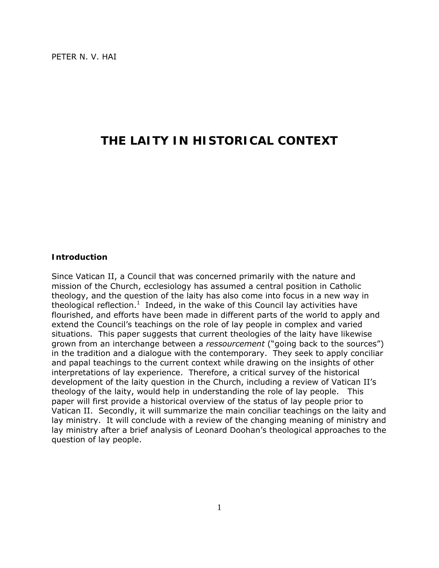# **THE LAITY IN HISTORICAL CONTEXT**

# **Introduction**

Since Vatican II, a Council that was concerned primarily with the nature and mission of the Church, ecclesiology has assumed a central position in Catholic theology, and the question of the laity has also come into focus in a new way in theological reflection.<sup>1</sup> Indeed, in the wake of this Council lay activities have flourished, and efforts have been made in different parts of the world to apply and extend the Council's teachings on the role of lay people in complex and varied situations. This paper suggests that current theologies of the laity have likewise grown from an interchange between a *ressourcement* ("going back to the sources") in the tradition and a dialogue with the contemporary. They seek to apply conciliar and papal teachings to the current context while drawing on the insights of other interpretations of lay experience. Therefore, a critical survey of the historical development of the laity question in the Church, including a review of Vatican II's theology of the laity, would help in understanding the role of lay people. This paper will first provide a historical overview of the status of lay people prior to Vatican II. Secondly, it will summarize the main conciliar teachings on the laity and lay ministry. It will conclude with a review of the changing meaning of ministry and lay ministry after a brief analysis of Leonard Doohan's theological approaches to the question of lay people.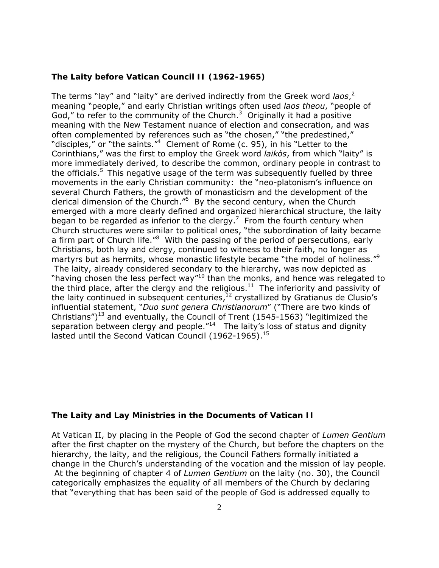# **The Laity before Vatican Council II (1962-1965)**

The terms "lay" and "laity" are derived indirectly from the Greek word *laos*, 2 meaning "people," and early Christian writings often used *laos theou*, "people of God," to refer to the community of the Church. $3$  Originally it had a positive meaning with the New Testament nuance of election and consecration, and was often complemented by references such as "the chosen," "the predestined," "disciples," or "the saints."<sup>4</sup> Clement of Rome (c. 95), in his "Letter to the Corinthians," was the first to employ the Greek word *laikόs*, from which "laity" is more immediately derived, to describe the common, ordinary people in contrast to the officials.<sup>5</sup> This negative usage of the term was subsequently fuelled by three movements in the early Christian community: the "neo-platonism's influence on several Church Fathers, the growth of monasticism and the development of the clerical dimension of the Church."<sup>6</sup> By the second century, when the Church emerged with a more clearly defined and organized hierarchical structure, the laity began to be regarded as inferior to the clergy.<sup>7</sup> From the fourth century when Church structures were similar to political ones, "the subordination of laity became a firm part of Church life.<sup>"8</sup> With the passing of the period of persecutions, early Christians, both lay and clergy, continued to witness to their faith, no longer as martyrs but as hermits, whose monastic lifestyle became "the model of holiness."<sup>9</sup> The laity, already considered secondary to the hierarchy, was now depicted as "having chosen the less perfect way"<sup>10</sup> than the monks, and hence was relegated to the third place, after the clergy and the religious.<sup>11</sup> The inferiority and passivity of the laity continued in subsequent centuries, $^{12}$  crystallized by Gratianus de Clusio's influential statement, "*Duo sunt genera Christianorum*" ("There are two kinds of Christians")<sup>13</sup> and eventually, the Council of Trent (1545-1563) "legitimized the separation between clergy and people."<sup>14</sup> The laity's loss of status and dignity lasted until the Second Vatican Council (1962-1965). $15$ 

# **The Laity and Lay Ministries in the Documents of Vatican II**

At Vatican II, by placing in the People of God the second chapter of *Lumen Gentium* after the first chapter on the mystery of the Church, but before the chapters on the hierarchy, the laity, and the religious, the Council Fathers formally initiated a change in the Church's understanding of the vocation and the mission of lay people. At the beginning of chapter 4 of *Lumen Gentium* on the laity (no. 30), the Council categorically emphasizes the equality of all members of the Church by declaring that "everything that has been said of the people of God is addressed equally to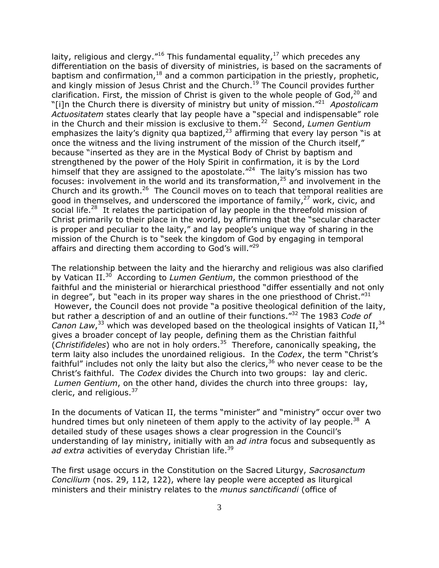laity, religious and clergy."<sup>16</sup> This fundamental equality, $^{17}$  which precedes any differentiation on the basis of diversity of ministries, is based on the sacraments of baptism and confirmation,  $18$  and a common participation in the priestly, prophetic, and kingly mission of Jesus Christ and the Church.<sup>19</sup> The Council provides further clarification. First, the mission of Christ is given to the whole people of God, $^{20}$  and "[i]n the Church there is diversity of ministry but unity of mission."21 *Apostolicam Actuositatem* states clearly that lay people have a "special and indispensable" role in the Church and their mission is exclusive to them.22 Second, *Lumen Gentium* emphasizes the laity's dignity qua baptized, $^{23}$  affirming that every lay person "is at once the witness and the living instrument of the mission of the Church itself," because "inserted as they are in the Mystical Body of Christ by baptism and strengthened by the power of the Holy Spirit in confirmation, it is by the Lord himself that they are assigned to the apostolate. $124$  The laity's mission has two focuses: involvement in the world and its transformation, $25$  and involvement in the Church and its growth.<sup>26</sup> The Council moves on to teach that temporal realities are good in themselves, and underscored the importance of family,<sup>27</sup> work, civic, and social life.<sup>28</sup> It relates the participation of lay people in the threefold mission of Christ primarily to their place in the world, by affirming that the "secular character is proper and peculiar to the laity," and lay people's unique way of sharing in the mission of the Church is to "seek the kingdom of God by engaging in temporal affairs and directing them according to God's will."<sup>29</sup>

The relationship between the laity and the hierarchy and religious was also clarified by Vatican II.30 According to *Lumen Gentium*, the common priesthood of the faithful and the ministerial or hierarchical priesthood "differ essentially and not only in degree", but "each in its proper way shares in the one priesthood of Christ." $31$  However, the Council does not provide "a positive theological definition of the laity, but rather a description of and an outline of their functions."32 The 1983 *Code of*  Canon Law,<sup>33</sup> which was developed based on the theological insights of Vatican II,<sup>34</sup> gives a broader concept of lay people, defining them as the Christian faithful (*Christifideles*) who are not in holy orders.35 Therefore, canonically speaking, the term laity also includes the unordained religious. In the *Codex*, the term "Christ's faithful" includes not only the laity but also the clerics,  $36$  who never cease to be the Christ's faithful. The *Codex* divides the Church into two groups: lay and cleric. *Lumen Gentium*, on the other hand, divides the church into three groups: lay, cleric, and religious.<sup>37</sup>

In the documents of Vatican II, the terms "minister" and "ministry" occur over two hundred times but only nineteen of them apply to the activity of lay people.<sup>38</sup> A detailed study of these usages shows a clear progression in the Council's understanding of lay ministry, initially with an *ad intra* focus and subsequently as ad extra activities of everyday Christian life.<sup>39</sup>

The first usage occurs in the Constitution on the Sacred Liturgy, *Sacrosanctum Concilium* (nos. 29, 112, 122), where lay people were accepted as liturgical ministers and their ministry relates to the *munus sanctificandi* (office of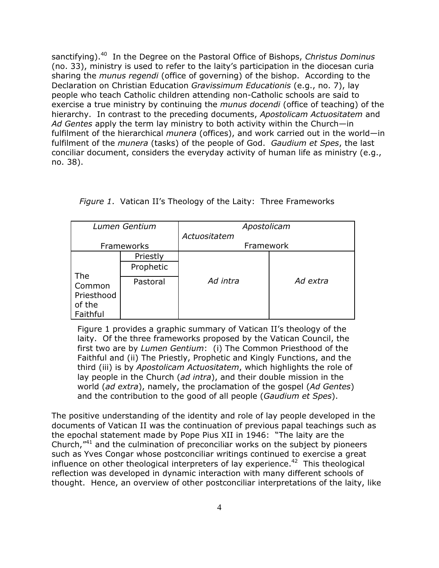sanctifying).40 In the Degree on the Pastoral Office of Bishops, *Christus Dominus* (no. 33), ministry is used to refer to the laity's participation in the diocesan curia sharing the *munus regendi* (office of governing) of the bishop. According to the Declaration on Christian Education *Gravissimum Educationis* (e.g., no. 7), lay people who teach Catholic children attending non-Catholic schools are said to exercise a true ministry by continuing the *munus docendi* (office of teaching) of the hierarchy. In contrast to the preceding documents, *Apostolicam Actuositatem* and *Ad Gentes* apply the term lay ministry to both activity within the Church—in fulfilment of the hierarchical *munera* (offices), and work carried out in the world—in fulfilment of the *munera* (tasks) of the people of God. *Gaudium et Spes*, the last conciliar document, considers the everyday activity of human life as ministry (e.g., no. 38).

| Lumen Gentium                                     |           | Apostolicam  |          |  |
|---------------------------------------------------|-----------|--------------|----------|--|
|                                                   |           | Actuositatem |          |  |
| Frameworks                                        |           | Framework    |          |  |
| The<br>Common<br>Priesthood<br>of the<br>Faithful | Priestly  | Ad intra     | Ad extra |  |
|                                                   | Prophetic |              |          |  |
|                                                   | Pastoral  |              |          |  |

|  |  | Figure 1. Vatican II's Theology of the Laity: Three Frameworks |
|--|--|----------------------------------------------------------------|
|  |  |                                                                |

Figure 1 provides a graphic summary of Vatican II's theology of the laity. Of the three frameworks proposed by the Vatican Council, the first two are by *Lumen Gentium*: (i) The Common Priesthood of the Faithful and (ii) The Priestly, Prophetic and Kingly Functions, and the third (iii) is by *Apostolicam Actuositatem*, which highlights the role of lay people in the Church (*ad intra*), and their double mission in the world (*ad extra*), namely, the proclamation of the gospel (*Ad Gentes*) and the contribution to the good of all people (*Gaudium et Spes*).

The positive understanding of the identity and role of lay people developed in the documents of Vatican II was the continuation of previous papal teachings such as the epochal statement made by Pope Pius XII in 1946: "The laity are the Church, $141$  and the culmination of preconciliar works on the subject by pioneers such as Yves Congar whose postconciliar writings continued to exercise a great influence on other theological interpreters of lay experience.<sup>42</sup> This theological reflection was developed in dynamic interaction with many different schools of thought. Hence, an overview of other postconciliar interpretations of the laity, like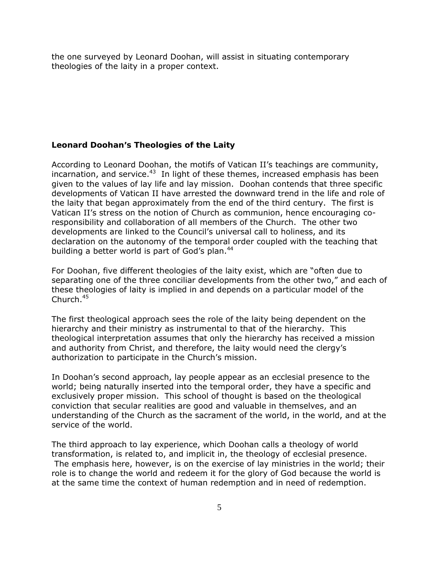the one surveyed by Leonard Doohan, will assist in situating contemporary theologies of the laity in a proper context.

#### **Leonard Doohan's Theologies of the Laity**

According to Leonard Doohan, the motifs of Vatican II's teachings are community,  $incar$ nation, and service.<sup>43</sup> In light of these themes, increased emphasis has been given to the values of lay life and lay mission. Doohan contends that three specific developments of Vatican II have arrested the downward trend in the life and role of the laity that began approximately from the end of the third century. The first is Vatican II's stress on the notion of Church as communion, hence encouraging coresponsibility and collaboration of all members of the Church. The other two developments are linked to the Council's universal call to holiness, and its declaration on the autonomy of the temporal order coupled with the teaching that building a better world is part of God's plan.<sup>44</sup>

For Doohan, five different theologies of the laity exist, which are "often due to separating one of the three conciliar developments from the other two," and each of these theologies of laity is implied in and depends on a particular model of the Church.45

The first theological approach sees the role of the laity being dependent on the hierarchy and their ministry as instrumental to that of the hierarchy. This theological interpretation assumes that only the hierarchy has received a mission and authority from Christ, and therefore, the laity would need the clergy's authorization to participate in the Church's mission.

In Doohan's second approach, lay people appear as an ecclesial presence to the world; being naturally inserted into the temporal order, they have a specific and exclusively proper mission. This school of thought is based on the theological conviction that secular realities are good and valuable in themselves, and an understanding of the Church as the sacrament of the world, in the world, and at the service of the world.

The third approach to lay experience, which Doohan calls a theology of world transformation, is related to, and implicit in, the theology of ecclesial presence. The emphasis here, however, is on the exercise of lay ministries in the world; their role is to change the world and redeem it for the glory of God because the world is at the same time the context of human redemption and in need of redemption.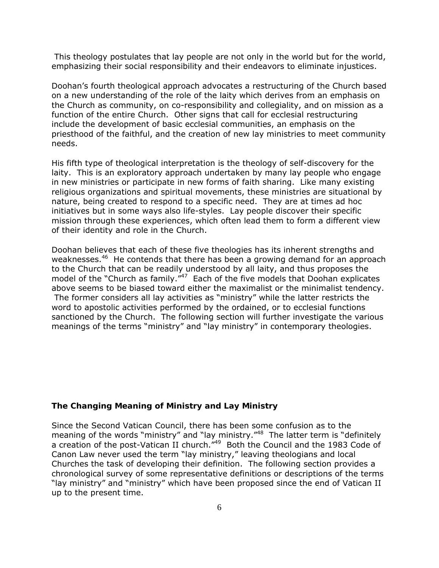This theology postulates that lay people are not only in the world but for the world, emphasizing their social responsibility and their endeavors to eliminate injustices.

Doohan's fourth theological approach advocates a restructuring of the Church based on a new understanding of the role of the laity which derives from an emphasis on the Church as community, on co-responsibility and collegiality, and on mission as a function of the entire Church. Other signs that call for ecclesial restructuring include the development of basic ecclesial communities, an emphasis on the priesthood of the faithful, and the creation of new lay ministries to meet community needs.

His fifth type of theological interpretation is the theology of self-discovery for the laity. This is an exploratory approach undertaken by many lay people who engage in new ministries or participate in new forms of faith sharing. Like many existing religious organizations and spiritual movements, these ministries are situational by nature, being created to respond to a specific need. They are at times ad hoc initiatives but in some ways also life-styles. Lay people discover their specific mission through these experiences, which often lead them to form a different view of their identity and role in the Church.

Doohan believes that each of these five theologies has its inherent strengths and weaknesses.<sup>46</sup> He contends that there has been a growing demand for an approach to the Church that can be readily understood by all laity, and thus proposes the model of the "Church as family."<sup>47</sup> Each of the five models that Doohan explicates above seems to be biased toward either the maximalist or the minimalist tendency. The former considers all lay activities as "ministry" while the latter restricts the word to apostolic activities performed by the ordained, or to ecclesial functions sanctioned by the Church. The following section will further investigate the various meanings of the terms "ministry" and "lay ministry" in contemporary theologies.

# **The Changing Meaning of Ministry and Lay Ministry**

Since the Second Vatican Council, there has been some confusion as to the meaning of the words "ministry" and "lay ministry."<sup>48</sup> The latter term is "definitely a creation of the post-Vatican II church."<sup>49</sup> Both the Council and the 1983 Code of Canon Law never used the term "lay ministry," leaving theologians and local Churches the task of developing their definition. The following section provides a chronological survey of some representative definitions or descriptions of the terms "lay ministry" and "ministry" which have been proposed since the end of Vatican II up to the present time.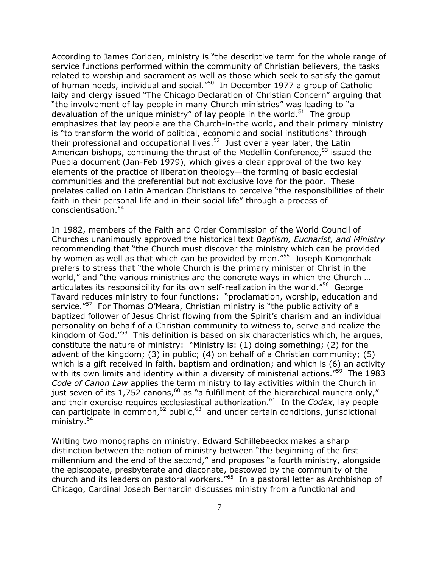According to James Coriden, ministry is "the descriptive term for the whole range of service functions performed within the community of Christian believers, the tasks related to worship and sacrament as well as those which seek to satisfy the gamut of human needs, individual and social."50 In December 1977 a group of Catholic laity and clergy issued "The Chicago Declaration of Christian Concern" arguing that "the involvement of lay people in many Church ministries" was leading to "a devaluation of the unique ministry" of lay people in the world.<sup>51</sup> The group emphasizes that lay people are the Church-in-the world, and their primary ministry is "to transform the world of political, economic and social institutions" through their professional and occupational lives.<sup>52</sup> Just over a year later, the Latin American bishops, continuing the thrust of the Medellin Conference,  $53$  issued the Puebla document (Jan-Feb 1979), which gives a clear approval of the two key elements of the practice of liberation theology—the forming of basic ecclesial communities and the preferential but not exclusive love for the poor. These prelates called on Latin American Christians to perceive "the responsibilities of their faith in their personal life and in their social life" through a process of conscientisation.<sup>54</sup>

In 1982, members of the Faith and Order Commission of the World Council of Churches unanimously approved the historical text *Baptism, Eucharist, and Ministry* recommending that "the Church must discover the ministry which can be provided by women as well as that which can be provided by men."<sup>55</sup> Joseph Komonchak prefers to stress that "the whole Church is the primary minister of Christ in the world," and "the various ministries are the concrete ways in which the Church ... articulates its responsibility for its own self-realization in the world."<sup>56</sup> George Tavard reduces ministry to four functions: "proclamation, worship, education and service."<sup>57</sup> For Thomas O'Meara, Christian ministry is "the public activity of a baptized follower of Jesus Christ flowing from the Spirit's charism and an individual personality on behalf of a Christian community to witness to, serve and realize the kingdom of God."<sup>58</sup> This definition is based on six characteristics which, he argues, constitute the nature of ministry: "Ministry is: (1) doing something; (2) for the advent of the kingdom; (3) in public; (4) on behalf of a Christian community; (5) which is a gift received in faith, baptism and ordination; and which is (6) an activity with its own limits and identity within a diversity of ministerial actions."<sup>59</sup> The 1983 *Code of Canon Law* applies the term ministry to lay activities within the Church in just seven of its 1,752 canons,<sup>60</sup> as "a fulfillment of the hierarchical munera only," and their exercise requires ecclesiastical authorization.<sup>61</sup> In the *Codex*, lay people can participate in common,  $62$  public,  $63$  and under certain conditions, jurisdictional ministry.<sup>64</sup>

Writing two monographs on ministry, Edward Schillebeeckx makes a sharp distinction between the notion of ministry between "the beginning of the first millennium and the end of the second," and proposes "a fourth ministry, alongside the episcopate, presbyterate and diaconate, bestowed by the community of the church and its leaders on pastoral workers."65 In a pastoral letter as Archbishop of Chicago, Cardinal Joseph Bernardin discusses ministry from a functional and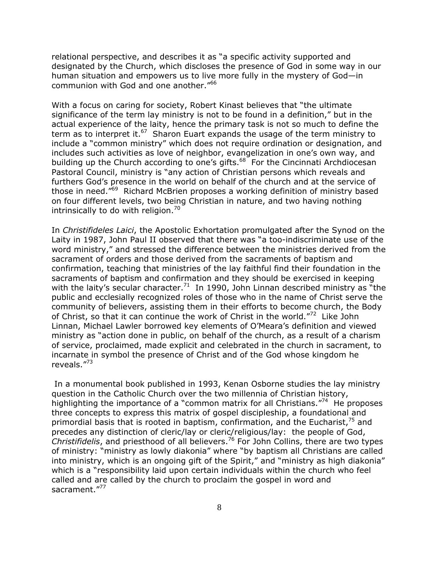relational perspective, and describes it as "a specific activity supported and designated by the Church, which discloses the presence of God in some way in our human situation and empowers us to live more fully in the mystery of God—in communion with God and one another."66

With a focus on caring for society, Robert Kinast believes that "the ultimate significance of the term lay ministry is not to be found in a definition," but in the actual experience of the laity, hence the primary task is not so much to define the term as to interpret it.<sup>67</sup> Sharon Euart expands the usage of the term ministry to include a "common ministry" which does not require ordination or designation, and includes such activities as love of neighbor, evangelization in one's own way, and building up the Church according to one's gifts.<sup>68</sup> For the Cincinnati Archdiocesan Pastoral Council, ministry is "any action of Christian persons which reveals and furthers God's presence in the world on behalf of the church and at the service of those in need."<sup>69</sup> Richard McBrien proposes a working definition of ministry based on four different levels, two being Christian in nature, and two having nothing intrinsically to do with religion.<sup>70</sup>

In *Christifideles Laici*, the Apostolic Exhortation promulgated after the Synod on the Laity in 1987, John Paul II observed that there was "a too-indiscriminate use of the word ministry," and stressed the difference between the ministries derived from the sacrament of orders and those derived from the sacraments of baptism and confirmation, teaching that ministries of the lay faithful find their foundation in the sacraments of baptism and confirmation and they should be exercised in keeping with the laity's secular character.<sup>71</sup> In 1990, John Linnan described ministry as "the public and ecclesially recognized roles of those who in the name of Christ serve the community of believers, assisting them in their efforts to become church, the Body of Christ, so that it can continue the work of Christ in the world."<sup>72</sup> Like John Linnan, Michael Lawler borrowed key elements of O'Meara's definition and viewed ministry as "action done in public, on behalf of the church, as a result of a charism of service, proclaimed, made explicit and celebrated in the church in sacrament, to incarnate in symbol the presence of Christ and of the God whose kingdom he reveals."73

 In a monumental book published in 1993, Kenan Osborne studies the lay ministry question in the Catholic Church over the two millennia of Christian history, highlighting the importance of a "common matrix for all Christians."<sup>74</sup> He proposes three concepts to express this matrix of gospel discipleship, a foundational and primordial basis that is rooted in baptism, confirmation, and the Eucharist,  $75$  and precedes any distinction of cleric/lay or cleric/religious/lay: the people of God, *Christifidelis*, and priesthood of all believers.76 For John Collins, there are two types of ministry: "ministry as lowly diakonia" where "by baptism all Christians are called into ministry, which is an ongoing gift of the Spirit," and "ministry as high diakonia" which is a "responsibility laid upon certain individuals within the church who feel called and are called by the church to proclaim the gospel in word and sacrament."<sup>77</sup>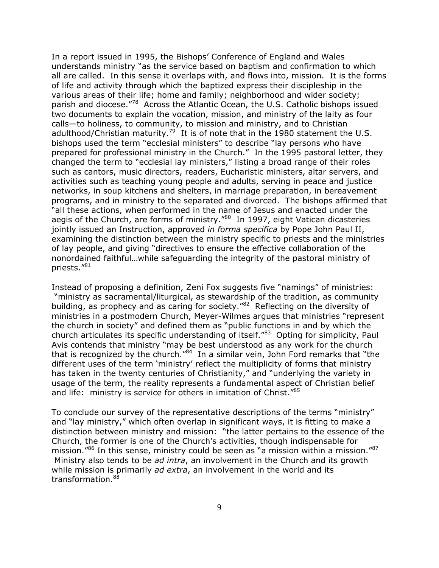In a report issued in 1995, the Bishops' Conference of England and Wales understands ministry "as the service based on baptism and confirmation to which all are called. In this sense it overlaps with, and flows into, mission. It is the forms of life and activity through which the baptized express their discipleship in the various areas of their life; home and family; neighborhood and wider society; parish and diocese."<sup>78</sup> Across the Atlantic Ocean, the U.S. Catholic bishops issued two documents to explain the vocation, mission, and ministry of the laity as four calls—to holiness, to community, to mission and ministry, and to Christian adulthood/Christian maturity.<sup>79</sup> It is of note that in the 1980 statement the U.S. bishops used the term "ecclesial ministers" to describe "lay persons who have prepared for professional ministry in the Church." In the 1995 pastoral letter, they changed the term to "ecclesial lay ministers," listing a broad range of their roles such as cantors, music directors, readers, Eucharistic ministers, altar servers, and activities such as teaching young people and adults, serving in peace and justice networks, in soup kitchens and shelters, in marriage preparation, in bereavement programs, and in ministry to the separated and divorced. The bishops affirmed that "all these actions, when performed in the name of Jesus and enacted under the aegis of the Church, are forms of ministry.<sup>"80</sup> In 1997, eight Vatican dicasteries jointly issued an Instruction, approved *in forma specifica* by Pope John Paul II, examining the distinction between the ministry specific to priests and the ministries of lay people, and giving "directives to ensure the effective collaboration of the nonordained faithful…while safeguarding the integrity of the pastoral ministry of priests."81

Instead of proposing a definition, Zeni Fox suggests five "namings" of ministries: "ministry as sacramental/liturgical, as stewardship of the tradition, as community building, as prophecy and as caring for society."82 Reflecting on the diversity of ministries in a postmodern Church, Meyer-Wilmes argues that ministries "represent the church in society" and defined them as "public functions in and by which the church articulates its specific understanding of itself."<sup>83</sup> Opting for simplicity, Paul Avis contends that ministry "may be best understood as any work for the church that is recognized by the church."<sup>84</sup> In a similar vein, John Ford remarks that "the different uses of the term 'ministry' reflect the multiplicity of forms that ministry has taken in the twenty centuries of Christianity," and "underlying the variety in usage of the term, the reality represents a fundamental aspect of Christian belief and life: ministry is service for others in imitation of Christ."<sup>85</sup>

To conclude our survey of the representative descriptions of the terms "ministry" and "lay ministry," which often overlap in significant ways, it is fitting to make a distinction between ministry and mission: "the latter pertains to the essence of the Church, the former is one of the Church's activities, though indispensable for mission."<sup>86</sup> In this sense, ministry could be seen as "a mission within a mission."<sup>87</sup> Ministry also tends to be *ad intra*, an involvement in the Church and its growth while mission is primarily *ad extra*, an involvement in the world and its transformation.<sup>88</sup>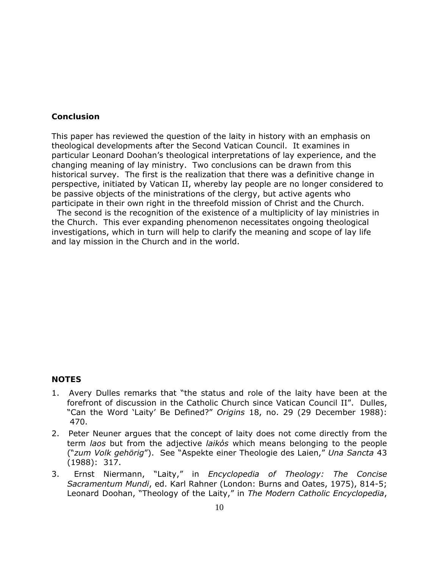### **Conclusion**

This paper has reviewed the question of the laity in history with an emphasis on theological developments after the Second Vatican Council. It examines in particular Leonard Doohan's theological interpretations of lay experience, and the changing meaning of lay ministry. Two conclusions can be drawn from this historical survey. The first is the realization that there was a definitive change in perspective, initiated by Vatican II, whereby lay people are no longer considered to be passive objects of the ministrations of the clergy, but active agents who participate in their own right in the threefold mission of Christ and the Church.

 The second is the recognition of the existence of a multiplicity of lay ministries in the Church. This ever expanding phenomenon necessitates ongoing theological investigations, which in turn will help to clarify the meaning and scope of lay life and lay mission in the Church and in the world.

### **NOTES**

- 1. Avery Dulles remarks that "the status and role of the laity have been at the forefront of discussion in the Catholic Church since Vatican Council II". Dulles, "Can the Word 'Laity' Be Defined?" *Origins* 18, no. 29 (29 December 1988): 470.
- 2. Peter Neuner argues that the concept of laity does not come directly from the term *laos* but from the adjective *laikόs* which means belonging to the people ("*zum Volk gehörig*"). See "Aspekte einer Theologie des Laien," *Una Sancta* 43 (1988): 317.
- 3. Ernst Niermann, "Laity," in *Encyclopedia of Theology: The Concise Sacramentum Mundi*, ed. Karl Rahner (London: Burns and Oates, 1975), 814-5; Leonard Doohan, "Theology of the Laity," in *The Modern Catholic Encyclopedia*,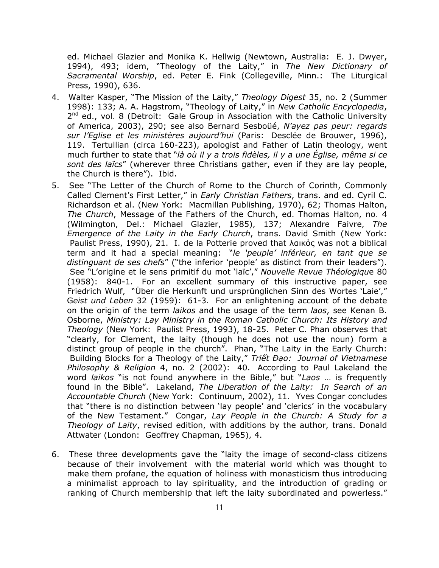ed. Michael Glazier and Monika K. Hellwig (Newtown, Australia: E. J. Dwyer, 1994), 493; idem, "Theology of the Laity," in *The New Dictionary of Sacramental Worship*, ed. Peter E. Fink (Collegeville, Minn.: The Liturgical Press, 1990), 636.

- 4. Walter Kasper, "The Mission of the Laity," *Theology Digest* 35, no. 2 (Summer 1998): 133; A. A. Hagstrom, "Theology of Laity," in *New Catholic Encyclopedia*,  $2^{nd}$  ed., vol. 8 (Detroit: Gale Group in Association with the Catholic University of America, 2003), 290; see also Bernard Sesboüé, *N'ayez pas peur: regards sur l'Eglise et les ministères aujourd'hui* (Paris: Desclée de Brouwer, 1996), 119. Tertullian (circa 160-223), apologist and Father of Latin theology, went much further to state that "*là où il y a trois fidèles, il y a une Église, même si ce sont des laïcs*" (wherever three Christians gather, even if they are lay people, the Church is there"). Ibid.
- 5. See "The Letter of the Church of Rome to the Church of Corinth, Commonly Called Clement's First Letter," in *Early Christian Fathers*, trans. and ed. Cyril C. Richardson et al. (New York: Macmillan Publishing, 1970), 62; Thomas Halton, *The Church*, Message of the Fathers of the Church, ed. Thomas Halton, no. 4 (Wilmington, Del.: Michael Glazier, 1985), 137; Alexandre Faivre, *The Emergence of the Laity in the Early Church*, trans. David Smith (New York: Paulist Press, 1990), 21. I. de la Potterie proved that λαικός was not a biblical term and it had a special meaning: "*le 'peuple' inférieur, en tant que se distinguant de ses chefs*" ("the inferior 'people' as distinct from their leaders"). See "L'origine et le sens primitif du mot 'laïc'," *Nouvelle Revue Théologiqu*e 80 (1958): 840-1. For an excellent summary of this instructive paper, see Friedrich Wulf, "Über die Herkunft und ursprünglichen Sinn des Wortes 'Laie'," G*eist und Leben* 32 (1959): 61-3. For an enlightening account of the debate on the origin of the term *laikos* and the usage of the term *laos*, see Kenan B. Osborne, *Ministry: Lay Ministry in the Roman Catholic Church: Its History and Theology* (New York: Paulist Press, 1993), 18-25. Peter C. Phan observes that "clearly, for Clement, the laity (though he does not use the noun) form a distinct group of people in the church". Phan, "The Laity in the Early Church: Building Blocks for a Theology of the Laity," *Triết Đạo: Journal of Vietnamese Philosophy & Religion* 4, no. 2 (2002): 40. According to Paul Lakeland the word *laikos* "is not found anywhere in the Bible," but "*Laos* … is frequently found in the Bible". Lakeland, *The Liberation of the Laity: In Search of an Accountable Church* (New York: Continuum, 2002), 11. Yves Congar concludes that "there is no distinction between 'lay people' and 'clerics' in the vocabulary of the New Testament." Congar, *Lay People in the Church: A Study for a Theology of Laity*, revised edition, with additions by the author, trans. Donald Attwater (London: Geoffrey Chapman, 1965), 4.
- 6. These three developments gave the "laity the image of second-class citizens because of their involvement with the material world which was thought to make them profane, the equation of holiness with monasticism thus introducing a minimalist approach to lay spirituality, and the introduction of grading or ranking of Church membership that left the laity subordinated and powerless."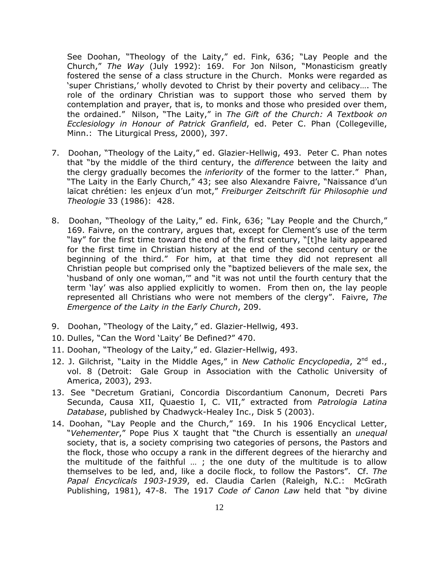See Doohan, "Theology of the Laity," ed. Fink, 636; "Lay People and the Church," *The Way* (July 1992): 169. For Jon Nilson, "Monasticism greatly fostered the sense of a class structure in the Church. Monks were regarded as 'super Christians,' wholly devoted to Christ by their poverty and celibacy…. The role of the ordinary Christian was to support those who served them by contemplation and prayer, that is, to monks and those who presided over them, the ordained." Nilson, "The Laity," in *The Gift of the Church: A Textbook on Ecclesiology in Honour of Patrick Granfield*, ed. Peter C. Phan (Collegeville, Minn.: The Liturgical Press, 2000), 397.

- 7. Doohan, "Theology of the Laity," ed. Glazier-Hellwig, 493. Peter C. Phan notes that "by the middle of the third century, the *difference* between the laity and the clergy gradually becomes the *inferiority* of the former to the latter." Phan, "The Laity in the Early Church," 43; see also Alexandre Faivre, "Naissance d'un laïcat chrétien: les enjeux d'un mot," *Freiburger Zeitschrift für Philosophie und Theologie* 33 (1986): 428.
- 8. Doohan, "Theology of the Laity," ed. Fink, 636; "Lay People and the Church," 169. Faivre, on the contrary, argues that, except for Clement's use of the term "lay" for the first time toward the end of the first century, "[t]he laity appeared for the first time in Christian history at the end of the second century or the beginning of the third." For him, at that time they did not represent all Christian people but comprised only the "baptized believers of the male sex, the 'husband of only one woman,'" and "it was not until the fourth century that the term 'lay' was also applied explicitly to women. From then on, the lay people represented all Christians who were not members of the clergy". Faivre, *The Emergence of the Laity in the Early Church*, 209.
- 9. Doohan, "Theology of the Laity," ed. Glazier-Hellwig, 493.
- 10. Dulles, "Can the Word 'Laity' Be Defined?" 470.
- 11. Doohan, "Theology of the Laity," ed. Glazier-Hellwig, 493.
- 12. J. Gilchrist, "Laity in the Middle Ages," in *New Catholic Encyclopedia*, 2nd ed., vol. 8 (Detroit: Gale Group in Association with the Catholic University of America, 2003), 293.
- 13. See "Decretum Gratiani, Concordia Discordantium Canonum, Decreti Pars Secunda, Causa XII, Quaestio I, C. VII," extracted from *Patrologia Latina Database*, published by Chadwyck-Healey Inc., Disk 5 (2003).
- 14. Doohan, "Lay People and the Church," 169. In his 1906 Encyclical Letter, "*Vehementer*," Pope Pius X taught that "the Church is essentially an *unequal*  society, that is, a society comprising two categories of persons, the Pastors and the flock, those who occupy a rank in the different degrees of the hierarchy and the multitude of the faithful … ; the one duty of the multitude is to allow themselves to be led, and, like a docile flock, to follow the Pastors". Cf. *The Papal Encyclicals 1903-1939*, ed. Claudia Carlen (Raleigh, N.C.: McGrath Publishing, 1981), 47-8. The 1917 *Code of Canon Law* held that "by divine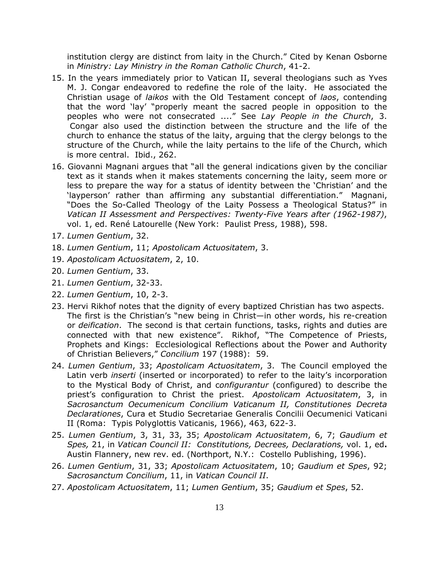institution clergy are distinct from laity in the Church." Cited by Kenan Osborne in *Ministry: Lay Ministry in the Roman Catholic Church*, 41-2.

- 15. In the years immediately prior to Vatican II, several theologians such as Yves M. J. Congar endeavored to redefine the role of the laity. He associated the Christian usage of *laikos* with the Old Testament concept of *laos*, contending that the word 'lay' "properly meant the sacred people in opposition to the peoples who were not consecrated ...." See *Lay People in the Church*, 3. Congar also used the distinction between the structure and the life of the church to enhance the status of the laity, arguing that the clergy belongs to the structure of the Church, while the laity pertains to the life of the Church, which is more central. Ibid., 262.
- 16. Giovanni Magnani argues that "all the general indications given by the conciliar text as it stands when it makes statements concerning the laity, seem more or less to prepare the way for a status of identity between the 'Christian' and the 'layperson' rather than affirming any substantial differentiation." Magnani, "Does the So-Called Theology of the Laity Possess a Theological Status?" in *Vatican II Assessment and Perspectives: Twenty-Five Years after (1962-1987)*, vol. 1, ed. René Latourelle (New York: Paulist Press, 1988), 598.
- 17. *Lumen Gentium*, 32.
- 18. *Lumen Gentium*, 11; *Apostolicam Actuositatem*, 3.
- 19. *Apostolicam Actuositatem*, 2, 10.
- 20. *Lumen Gentium*, 33.
- 21. *Lumen Gentium*, 32-33.
- 22. *Lumen Gentium*, 10, 2-3.
- 23. Hervi Rikhof notes that the dignity of every baptized Christian has two aspects. The first is the Christian's "new being in Christ—in other words, his re-creation or *deification*. The second is that certain functions, tasks, rights and duties are connected with that new existence". Rikhof, "The Competence of Priests, Prophets and Kings: Ecclesiological Reflections about the Power and Authority of Christian Believers," *Concilium* 197 (1988): 59.
- 24. *Lumen Gentium*, 33; *Apostolicam Actuositatem*, 3. The Council employed the Latin verb *inserti* (inserted or incorporated) to refer to the laity's incorporation to the Mystical Body of Christ, and c*onfigurantur* (configured) to describe the priest's configuration to Christ the priest. *Apostolicam Actuositatem*, 3, in *Sacrosanctum Oecumenicum Concilium Vaticanum II, Constitutiones Decreta Declarationes*, Cura et Studio Secretariae Generalis Concilii Oecumenici Vaticani II (Roma: Typis Polyglottis Vaticanis, 1966), 463, 622-3.
- 25. *Lumen Gentium*, 3, 31, 33, 35; *Apostolicam Actuositatem*, 6, 7; *Gaudium et Spes,* 21, in *Vatican Council II: Constitutions, Decrees, Declarations,* vol. 1, ed**.** Austin Flannery, new rev. ed. (Northport, N.Y.: Costello Publishing, 1996).
- 26. *Lumen Gentium*, 31, 33; *Apostolicam Actuositatem*, 10; *Gaudium et Spes*, 92; *Sacrosanctum Concilium*, 11, in *Vatican Council II*.
- 27. *Apostolicam Actuositatem*, 11; *Lumen Gentium*, 35; *Gaudium et Spes*, 52.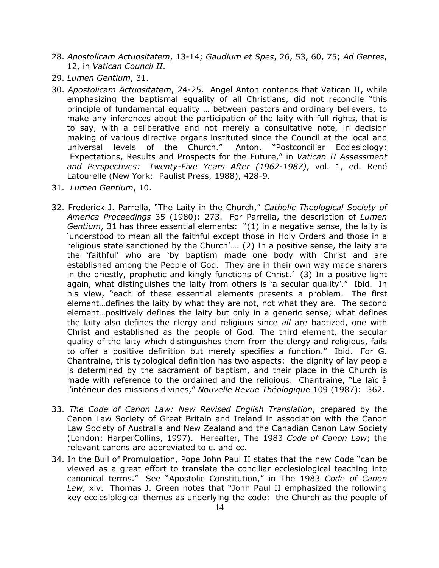- 28. *Apostolicam Actuositatem*, 13-14; *Gaudium et Spes*, 26, 53, 60, 75; *Ad Gentes*, 12, in *Vatican Council II*.
- 29. *Lumen Gentium*, 31.
- 30. *Apostolicam Actuositatem*, 24-25. Angel Anton contends that Vatican II, while emphasizing the baptismal equality of all Christians, did not reconcile "this principle of fundamental equality … between pastors and ordinary believers, to make any inferences about the participation of the laity with full rights, that is to say, with a deliberative and not merely a consultative note, in decision making of various directive organs instituted since the Council at the local and universal levels of the Church." Anton, "Postconciliar Ecclesiology: Expectations, Results and Prospects for the Future," in *Vatican II Assessment and Perspectives: Twenty-Five Years After (1962-1987)*, vol. 1, ed. René Latourelle (New York: Paulist Press, 1988), 428-9.
- 31. *Lumen Gentium*, 10.
- 32. Frederick J. Parrella, "The Laity in the Church," *Catholic Theological Society of America Proceedings* 35 (1980): 273. For Parrella, the description of *Lumen Gentium*, 31 has three essential elements: "(1) in a negative sense, the laity is 'understood to mean all the faithful except those in Holy Orders and those in a religious state sanctioned by the Church'…. (2) In a positive sense, the laity are the 'faithful' who are 'by baptism made one body with Christ and are established among the People of God. They are in their own way made sharers in the priestly, prophetic and kingly functions of Christ.' (3) In a positive light again, what distinguishes the laity from others is 'a secular quality'." Ibid. In his view, "each of these essential elements presents a problem. The first element…defines the laity by what they are not, not what they are. The second element…positively defines the laity but only in a generic sense; what defines the laity also defines the clergy and religious since *all* are baptized, one with Christ and established as the people of God. The third element, the secular quality of the laity which distinguishes them from the clergy and religious, fails to offer a positive definition but merely specifies a function." Ibid. For G. Chantraine, this typological definition has two aspects: the dignity of lay people is determined by the sacrament of baptism, and their place in the Church is made with reference to the ordained and the religious. Chantraine, "Le laïc à l'intérieur des missions divines," *Nouvelle Revue Théologiqu*e 109 (1987): 362.
- 33. *The Code of Canon Law: New Revised English Translation*, prepared by the Canon Law Society of Great Britain and Ireland in association with the Canon Law Society of Australia and New Zealand and the Canadian Canon Law Society (London: HarperCollins, 1997). Hereafter, The 1983 *Code of Canon Law*; the relevant canons are abbreviated to c. and cc.
- 34. In the Bull of Promulgation, Pope John Paul II states that the new Code "can be viewed as a great effort to translate the conciliar ecclesiological teaching into canonical terms." See "Apostolic Constitution," in The 1983 *Code of Canon Law*, xiv. Thomas J. Green notes that "John Paul II emphasized the following key ecclesiological themes as underlying the code: the Church as the people of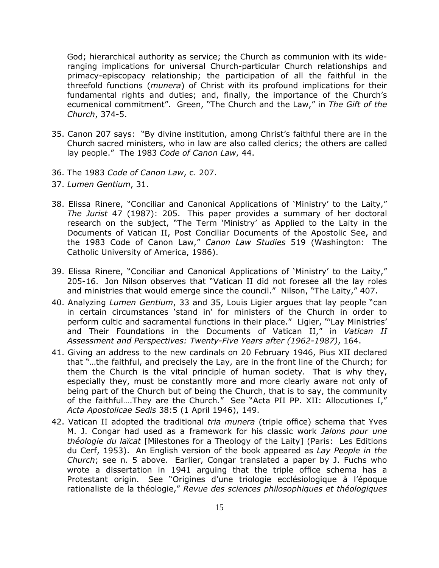God; hierarchical authority as service; the Church as communion with its wideranging implications for universal Church-particular Church relationships and primacy-episcopacy relationship; the participation of all the faithful in the threefold functions (*munera*) of Christ with its profound implications for their fundamental rights and duties; and, finally, the importance of the Church's ecumenical commitment". Green, "The Church and the Law," in *The Gift of the Church*, 374-5.

- 35. Canon 207 says: "By divine institution, among Christ's faithful there are in the Church sacred ministers, who in law are also called clerics; the others are called lay people." The 1983 *Code of Canon Law*, 44.
- 36. The 1983 *Code of Canon Law*, c. 207.
- 37. *Lumen Gentium*, 31.
- 38. Elissa Rinere, "Conciliar and Canonical Applications of 'Ministry' to the Laity," *The Jurist* 47 (1987): 205. This paper provides a summary of her doctoral research on the subject, "The Term 'Ministry' as Applied to the Laity in the Documents of Vatican II, Post Conciliar Documents of the Apostolic See, and the 1983 Code of Canon Law," *Canon Law Studies* 519 (Washington: The Catholic University of America, 1986).
- 39. Elissa Rinere, "Conciliar and Canonical Applications of 'Ministry' to the Laity," 205-16. Jon Nilson observes that "Vatican II did not foresee all the lay roles and ministries that would emerge since the council." Nilson, "The Laity," 407.
- 40. Analyzing *Lumen Gentium*, 33 and 35, Louis Ligier argues that lay people "can in certain circumstances 'stand in' for ministers of the Church in order to perform cultic and sacramental functions in their place." Ligier, "'Lay Ministries' and Their Foundations in the Documents of Vatican II," in *Vatican II Assessment and Perspectives: Twenty-Five Years after (1962-1987)*, 164.
- 41. Giving an address to the new cardinals on 20 February 1946, Pius XII declared that "…the faithful, and precisely the Lay, are in the front line of the Church; for them the Church is the vital principle of human society. That is why they, especially they, must be constantly more and more clearly aware not only of being part of the Church but of being the Church, that is to say, the community of the faithful….They are the Church." See "Acta PII PP. XII: Allocutiones I," *Acta Apostolicae Sedis* 38:5 (1 April 1946), 149.
- 42. Vatican II adopted the traditional *tria munera* (triple office) schema that Yves M. J. Congar had used as a framework for his classic work *Jalons pour une théologie du laïcat* [Milestones for a Theology of the Laity] (Paris: Les Editions du Cerf, 1953). An English version of the book appeared as *Lay People in the Church*; see n. 5 above. Earlier, Congar translated a paper by J. Fuchs who wrote a dissertation in 1941 arguing that the triple office schema has a Protestant origin. See "Origines d'une triologie ecclésiologique à l'époque rationaliste de la théologie," *Revue des sciences philosophiques et théologiques*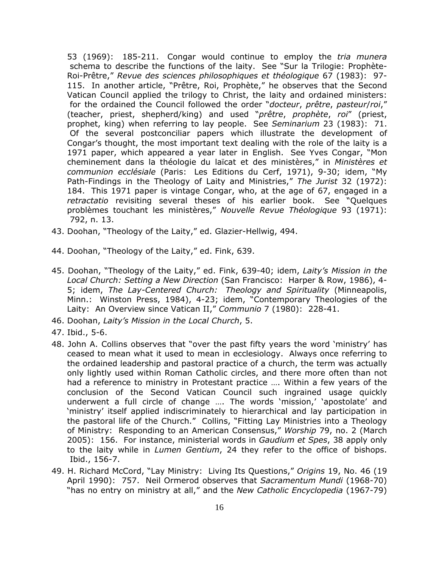53 (1969): 185-211. Congar would continue to employ the *tria munera* schema to describe the functions of the laity. See "Sur la Trilogie: Prophète-Roi-Prêtre," *Revue des sciences philosophiques et théologique* 67 (1983): 97- 115. In another article, "Prêtre, Roi, Prophète," he observes that the Second Vatican Council applied the trilogy to Christ, the laity and ordained ministers: for the ordained the Council followed the order "*docteur*, *prêtre*, *pasteur*/*roi*," (teacher, priest, shepherd/king) and used "*prêtre*, *prophète*, *roi*" (priest, prophet, king) when referring to lay people. See *Seminarium* 23 (1983): 71. Of the several postconciliar papers which illustrate the development of Congar's thought, the most important text dealing with the role of the laity is a 1971 paper, which appeared a year later in English. See Yves Congar, "Mon cheminement dans la théologie du laïcat et des ministères," in *Ministères et communion ecclésiale* (Paris: Les Editions du Cerf, 1971), 9-30; idem, "My Path-Findings in the Theology of Laity and Ministries," *The Jurist* 32 (1972): 184. This 1971 paper is vintage Congar, who, at the age of 67, engaged in a *retractatio* revisiting several theses of his earlier book. See "Quelques problèmes touchant les ministères," *Nouvelle Revue Théologique* 93 (1971): 792, n. 13.

- 43. Doohan, "Theology of the Laity," ed. Glazier-Hellwig, 494.
- 44. Doohan, "Theology of the Laity," ed. Fink, 639.
- 45. Doohan, "Theology of the Laity," ed. Fink, 639-40; idem, *Laity's Mission in the Local Church: Setting a New Direction* (San Francisco: Harper & Row, 1986), 4- 5; idem, *The Lay-Centered Church: Theology and Spirituality* (Minneapolis, Minn.: Winston Press, 1984), 4-23; idem, "Contemporary Theologies of the Laity: An Overview since Vatican II," *Communio* 7 (1980): 228-41.
- 46. Doohan, *Laity's Mission in the Local Church*, 5.
- 47. Ibid., 5-6.
- 48. John A. Collins observes that "over the past fifty years the word 'ministry' has ceased to mean what it used to mean in ecclesiology. Always once referring to the ordained leadership and pastoral practice of a church, the term was actually only lightly used within Roman Catholic circles, and there more often than not had a reference to ministry in Protestant practice …. Within a few years of the conclusion of the Second Vatican Council such ingrained usage quickly underwent a full circle of change …. The words 'mission,' 'apostolate' and 'ministry' itself applied indiscriminately to hierarchical and lay participation in the pastoral life of the Church." Collins, "Fitting Lay Ministries into a Theology of Ministry: Responding to an American Consensus," *Worship* 79, no. 2 (March 2005): 156. For instance, ministerial words in *Gaudium et Spes*, 38 apply only to the laity while in *Lumen Gentium*, 24 they refer to the office of bishops. Ibid., 156-7.
- 49. H. Richard McCord, "Lay Ministry: Living Its Questions," *Origins* 19, No. 46 (19 April 1990): 757. Neil Ormerod observes that *Sacramentum Mundi* (1968-70) "has no entry on ministry at all," and the *New Catholic Encyclopedia* (1967-79)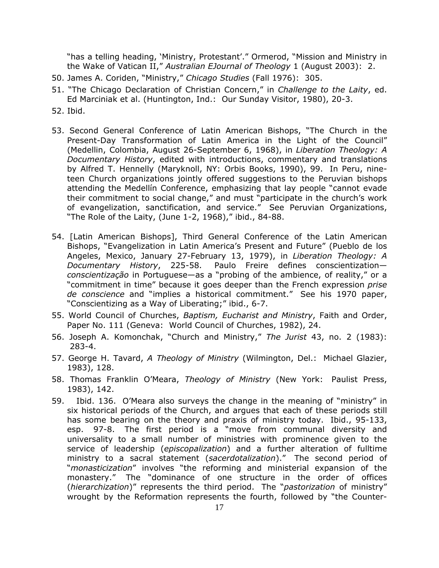"has a telling heading, 'Ministry, Protestant'." Ormerod, "Mission and Ministry in the Wake of Vatican II," *Australian EJournal of Theology* 1 (August 2003): 2.

- 50. James A. Coriden, "Ministry," *Chicago Studies* (Fall 1976): 305.
- 51. "The Chicago Declaration of Christian Concern," in *Challenge to the Laity*, ed. Ed Marciniak et al. (Huntington, Ind.: Our Sunday Visitor, 1980), 20-3.
- 52. Ibid.
- 53. Second General Conference of Latin American Bishops, "The Church in the Present-Day Transformation of Latin America in the Light of the Council" (Medellin, Colombia, August 26-September 6, 1968), in *Liberation Theology: A Documentary History*, edited with introductions, commentary and translations by Alfred T. Hennelly (Maryknoll, NY: Orbis Books, 1990), 99. In Peru, nineteen Church organizations jointly offered suggestions to the Peruvian bishops attending the Medellín Conference, emphasizing that lay people "cannot evade their commitment to social change," and must "participate in the church's work of evangelization, sanctification, and service." See Peruvian Organizations, "The Role of the Laity, (June 1-2, 1968)," ibid., 84-88.
- 54. [Latin American Bishops], Third General Conference of the Latin American Bishops, "Evangelization in Latin America's Present and Future" (Pueblo de los Angeles, Mexico, January 27-February 13, 1979), in *Liberation Theology: A Documentary History*, 225-58. Paulo Freire defines conscientization *conscientização* in Portuguese—as a "probing of the ambience, of reality," or a "commitment in time" because it goes deeper than the French expression *prise de conscience* and "implies a historical commitment." See his 1970 paper, "Conscientizing as a Way of Liberating;" ibid., 6-7.
- 55. World Council of Churches, *Baptism, Eucharist and Ministry*, Faith and Order, Paper No. 111 (Geneva: World Council of Churches, 1982), 24.
- 56. Joseph A. Komonchak, "Church and Ministry," *The Jurist* 43, no. 2 (1983): 283-4.
- 57. George H. Tavard, *A Theology of Ministry* (Wilmington, Del.: Michael Glazier, 1983), 128.
- 58. Thomas Franklin O'Meara, *Theology of Ministry* (New York: Paulist Press, 1983), 142.
- 59. Ibid. 136. O'Meara also surveys the change in the meaning of "ministry" in six historical periods of the Church, and argues that each of these periods still has some bearing on the theory and praxis of ministry today. Ibid., 95-133, esp. 97-8. The first period is a "move from communal diversity and universality to a small number of ministries with prominence given to the service of leadership (*episcopalization*) and a further alteration of fulltime ministry to a sacral statement (*sacerdotalization*)." The second period of "*monasticization*" involves "the reforming and ministerial expansion of the monastery." The "dominance of one structure in the order of offices (*hierarchization*)" represents the third period. The "*pastorization* of ministry" wrought by the Reformation represents the fourth, followed by "the Counter-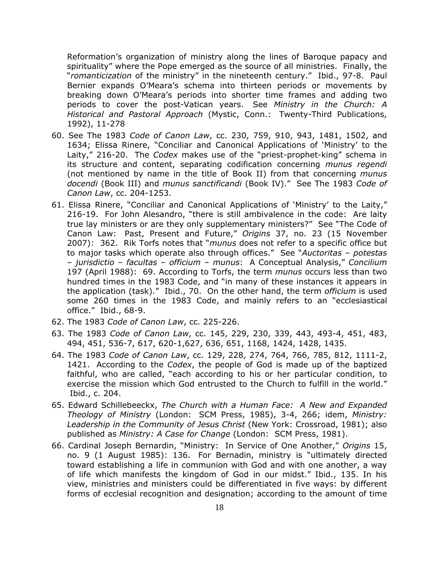Reformation's organization of ministry along the lines of Baroque papacy and spirituality" where the Pope emerged as the source of all ministries. Finally, the "*romanticization* of the ministry" in the nineteenth century." Ibid., 97-8. Paul Bernier expands O'Meara's schema into thirteen periods or movements by breaking down O'Meara's periods into shorter time frames and adding two periods to cover the post-Vatican years. See *Ministry in the Church: A Historical and Pastoral Approach* (Mystic, Conn.: Twenty-Third Publications, 1992), 11-278

- 60. See The 1983 *Code of Canon Law*, cc. 230, 759, 910, 943, 1481, 1502, and 1634; Elissa Rinere, "Conciliar and Canonical Applications of 'Ministry' to the Laity," 216-20. The *Codex* makes use of the "priest-prophet-king" schema in its structure and content, separating codification concerning *munus regendi* (not mentioned by name in the title of Book II) from that concerning *munus docendi* (Book III) and *munus sanctificandi* (Book IV)." See The 1983 *Code of Canon Law*, cc. 204-1253.
- 61. Elissa Rinere, "Conciliar and Canonical Applications of 'Ministry' to the Laity," 216-19. For John Alesandro, "there is still ambivalence in the code: Are laity true lay ministers or are they only supplementary ministers?" See "The Code of Canon Law: Past, Present and Future," *Origins* 37, no. 23 (15 November 2007): 362. Rik Torfs notes that "*munus* does not refer to a specific office but to major tasks which operate also through offices." See "*Auctoritas* – *potestas* – *jurisdictio* – *facultas* – *officium* – *munus*: A Conceptual Analysis," *Concilium* 197 (April 1988): 69. According to Torfs, the term *munus* occurs less than two hundred times in the 1983 Code, and "in many of these instances it appears in the application (task)." Ibid., 70. On the other hand, the term *officium* is used some 260 times in the 1983 Code, and mainly refers to an "ecclesiastical office." Ibid., 68-9.
- 62. The 1983 *Code of Canon Law*, cc. 225-226.
- 63. The 1983 *Code of Canon Law*, cc. 145, 229, 230, 339, 443, 493-4, 451, 483, 494, 451, 536-7, 617, 620-1,627, 636, 651, 1168, 1424, 1428, 1435.
- 64. The 1983 *Code of Canon Law*, cc. 129, 228, 274, 764, 766, 785, 812, 1111-2, 1421. According to the *Codex*, the people of God is made up of the baptized faithful, who are called, "each according to his or her particular condition, to exercise the mission which God entrusted to the Church to fulfill in the world." Ibid., c. 204.
- 65. Edward Schillebeeckx, *The Church with a Human Face: A New and Expanded Theology of Ministry* (London: SCM Press, 1985), 3-4, 266; idem, *Ministry: Leadership in the Community of Jesus Christ* (New York: Crossroad, 1981); also published as *Ministry: A Case for Change* (London: SCM Press, 1981).
- 66. Cardinal Joseph Bernardin, "Ministry: In Service of One Another," *Origins* 15, no. 9 (1 August 1985): 136. For Bernadin, ministry is "ultimately directed toward establishing a life in communion with God and with one another, a way of life which manifests the kingdom of God in our midst." Ibid., 135. In his view, ministries and ministers could be differentiated in five ways: by different forms of ecclesial recognition and designation; according to the amount of time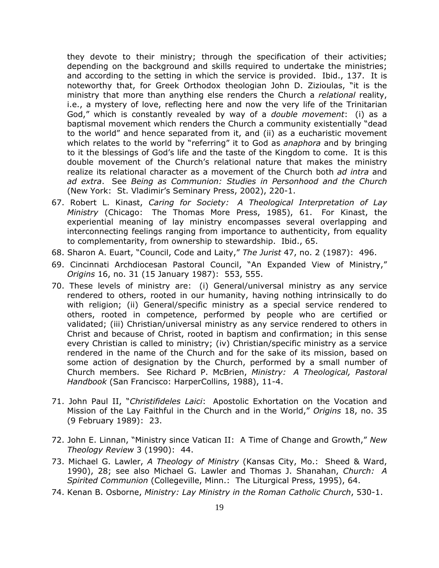they devote to their ministry; through the specification of their activities; depending on the background and skills required to undertake the ministries; and according to the setting in which the service is provided. Ibid., 137. It is noteworthy that, for Greek Orthodox theologian John D. Zizioulas, "it is the ministry that more than anything else renders the Church a *relational* reality, i.e., a mystery of love, reflecting here and now the very life of the Trinitarian God," which is constantly revealed by way of a *double movement*: (i) as a baptismal movement which renders the Church a community existentially "dead to the world" and hence separated from it, and (ii) as a eucharistic movement which relates to the world by "referring" it to God as *anaphora* and by bringing to it the blessings of God's life and the taste of the Kingdom to come. It is this double movement of the Church's relational nature that makes the ministry realize its relational character as a movement of the Church both *ad intra* and *ad extra*. See *Being as Communion: Studies in Personhood and the Church* (New York: St. Vladimir's Seminary Press, 2002), 220-1.

- 67. Robert L. Kinast, *Caring for Society: A Theological Interpretation of Lay Ministry* (Chicago: The Thomas More Press, 1985), 61. For Kinast, the experiential meaning of lay ministry encompasses several overlapping and interconnecting feelings ranging from importance to authenticity, from equality to complementarity, from ownership to stewardship. Ibid., 65.
- 68. Sharon A. Euart, "Council, Code and Laity," *The Jurist* 47, no. 2 (1987): 496.
- 69. Cincinnati Archdiocesan Pastoral Council, "An Expanded View of Ministry," *Origins* 16, no. 31 (15 January 1987): 553, 555.
- 70. These levels of ministry are: (i) General/universal ministry as any service rendered to others, rooted in our humanity, having nothing intrinsically to do with religion; (ii) General/specific ministry as a special service rendered to others, rooted in competence, performed by people who are certified or validated; (iii) Christian/universal ministry as any service rendered to others in Christ and because of Christ, rooted in baptism and confirmation; in this sense every Christian is called to ministry; (iv) Christian/specific ministry as a service rendered in the name of the Church and for the sake of its mission, based on some action of designation by the Church, performed by a small number of Church members. See Richard P. McBrien, *Ministry: A Theological, Pastoral Handbook* (San Francisco: HarperCollins, 1988), 11-4.
- 71. John Paul II, "*Christifideles Laici*: Apostolic Exhortation on the Vocation and Mission of the Lay Faithful in the Church and in the World," *Origins* 18, no. 35 (9 February 1989): 23.
- 72. John E. Linnan, "Ministry since Vatican II: A Time of Change and Growth," *New Theology Review* 3 (1990): 44.
- 73. Michael G. Lawler, *A Theology of Ministry* (Kansas City, Mo.: Sheed & Ward, 1990), 28; see also Michael G. Lawler and Thomas J. Shanahan, *Church: A Spirited Communion* (Collegeville, Minn.: The Liturgical Press, 1995), 64.
- 74. Kenan B. Osborne, *Ministry: Lay Ministry in the Roman Catholic Church*, 530-1.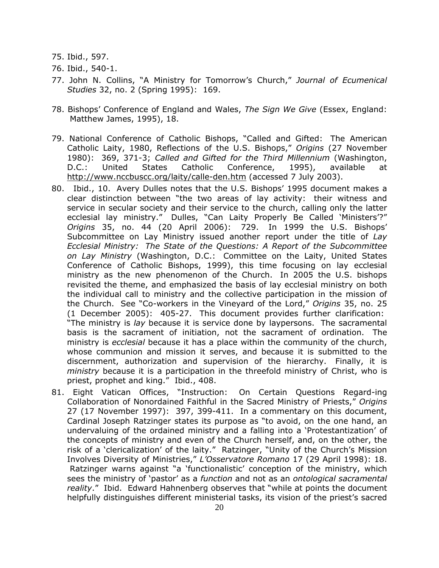- 75. Ibid., 597.
- 76. Ibid., 540-1.
- 77. John N. Collins, "A Ministry for Tomorrow's Church," *Journal of Ecumenical Studies* 32, no. 2 (Spring 1995): 169.
- 78. Bishops' Conference of England and Wales, *The Sign We Give* (Essex, England: Matthew James, 1995), 18.
- 79. National Conference of Catholic Bishops, "Called and Gifted: The American Catholic Laity, 1980, Reflections of the U.S. Bishops," *Origins* (27 November 1980): 369, 371-3; *Called and Gifted for the Third Millennium* (Washington, D.C.: United States Catholic Conference, 1995), available at <http://www.nccbuscc.org/laity/calle-den.htm> (accessed 7 July 2003).
- 80. Ibid., 10. Avery Dulles notes that the U.S. Bishops' 1995 document makes a clear distinction between "the two areas of lay activity: their witness and service in secular society and their service to the church, calling only the latter ecclesial lay ministry." Dulles, "Can Laity Properly Be Called 'Ministers'?" *Origins* 35, no. 44 (20 April 2006): 729. In 1999 the U.S. Bishops' Subcommittee on Lay Ministry issued another report under the title of *Lay Ecclesial Ministry: The State of the Questions: A Report of the Subcommittee on Lay Ministry* (Washington, D.C.: Committee on the Laity, United States Conference of Catholic Bishops, 1999), this time focusing on lay ecclesial ministry as the new phenomenon of the Church. In 2005 the U.S. bishops revisited the theme, and emphasized the basis of lay ecclesial ministry on both the individual call to ministry and the collective participation in the mission of the Church. See "Co-workers in the Vineyard of the Lord," *Origins* 35, no. 25 (1 December 2005): 405-27. This document provides further clarification: "The ministry is *lay* because it is service done by laypersons. The sacramental basis is the sacrament of initiation, not the sacrament of ordination. The ministry is *ecclesial* because it has a place within the community of the church, whose communion and mission it serves, and because it is submitted to the discernment, authorization and supervision of the hierarchy. Finally, it is *ministry* because it is a participation in the threefold ministry of Christ, who is priest, prophet and king." Ibid., 408.
- 81. Eight Vatican Offices, "Instruction: On Certain Questions Regard-ing Collaboration of Nonordained Faithful in the Sacred Ministry of Priests," *Origins* 27 (17 November 1997): 397, 399-411. In a commentary on this document, Cardinal Joseph Ratzinger states its purpose as "to avoid, on the one hand, an undervaluing of the ordained ministry and a falling into a 'Protestantization' of the concepts of ministry and even of the Church herself, and, on the other, the risk of a 'clericalization' of the laity." Ratzinger, "Unity of the Church's Mission Involves Diversity of Ministries," *L'Osservatore Romano* 17 (29 April 1998): 18. Ratzinger warns against "a 'functionalistic' conception of the ministry, which sees the ministry of 'pastor' as a *function* and not as an *ontological sacramental reality*." Ibid. Edward Hahnenberg observes that "while at points the document helpfully distinguishes different ministerial tasks, its vision of the priest's sacred